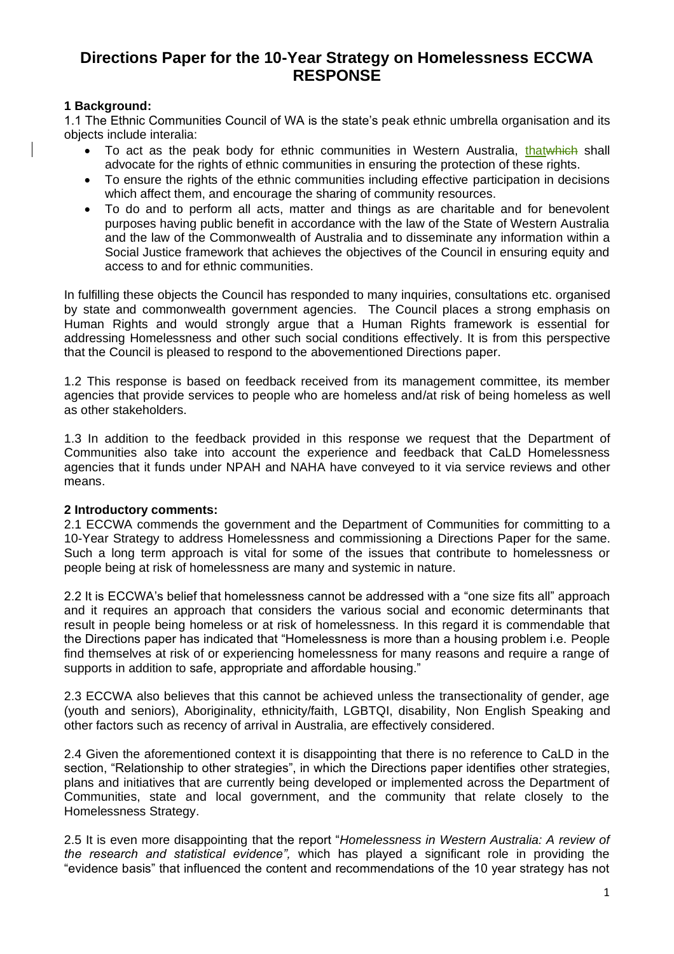# **Directions Paper for the 10-Year Strategy on Homelessness ECCWA RESPONSE**

# **1 Background:**

1.1 The Ethnic Communities Council of WA is the state's peak ethnic umbrella organisation and its objects include interalia:

- To act as the peak body for ethnic communities in Western Australia, thatwhich shall advocate for the rights of ethnic communities in ensuring the protection of these rights.
- To ensure the rights of the ethnic communities including effective participation in decisions which affect them, and encourage the sharing of community resources.
- To do and to perform all acts, matter and things as are charitable and for benevolent purposes having public benefit in accordance with the law of the State of Western Australia and the law of the Commonwealth of Australia and to disseminate any information within a Social Justice framework that achieves the objectives of the Council in ensuring equity and access to and for ethnic communities.

In fulfilling these objects the Council has responded to many inquiries, consultations etc. organised by state and commonwealth government agencies. The Council places a strong emphasis on Human Rights and would strongly argue that a Human Rights framework is essential for addressing Homelessness and other such social conditions effectively. It is from this perspective that the Council is pleased to respond to the abovementioned Directions paper.

1.2 This response is based on feedback received from its management committee, its member agencies that provide services to people who are homeless and/at risk of being homeless as well as other stakeholders.

1.3 In addition to the feedback provided in this response we request that the Department of Communities also take into account the experience and feedback that CaLD Homelessness agencies that it funds under NPAH and NAHA have conveyed to it via service reviews and other means.

# **2 Introductory comments:**

2.1 ECCWA commends the government and the Department of Communities for committing to a 10-Year Strategy to address Homelessness and commissioning a Directions Paper for the same. Such a long term approach is vital for some of the issues that contribute to homelessness or people being at risk of homelessness are many and systemic in nature.

2.2 It is ECCWA's belief that homelessness cannot be addressed with a "one size fits all" approach and it requires an approach that considers the various social and economic determinants that result in people being homeless or at risk of homelessness. In this regard it is commendable that the Directions paper has indicated that "Homelessness is more than a housing problem i.e. People find themselves at risk of or experiencing homelessness for many reasons and require a range of supports in addition to safe, appropriate and affordable housing."

2.3 ECCWA also believes that this cannot be achieved unless the transectionality of gender, age (youth and seniors), Aboriginality, ethnicity/faith, LGBTQI, disability, Non English Speaking and other factors such as recency of arrival in Australia, are effectively considered.

2.4 Given the aforementioned context it is disappointing that there is no reference to CaLD in the section, "Relationship to other strategies", in which the Directions paper identifies other strategies, plans and initiatives that are currently being developed or implemented across the Department of Communities, state and local government, and the community that relate closely to the Homelessness Strategy.

2.5 It is even more disappointing that the report "*Homelessness in Western Australia: A review of the research and statistical evidence",* which has played a significant role in providing the "evidence basis" that influenced the content and recommendations of the 10 year strategy has not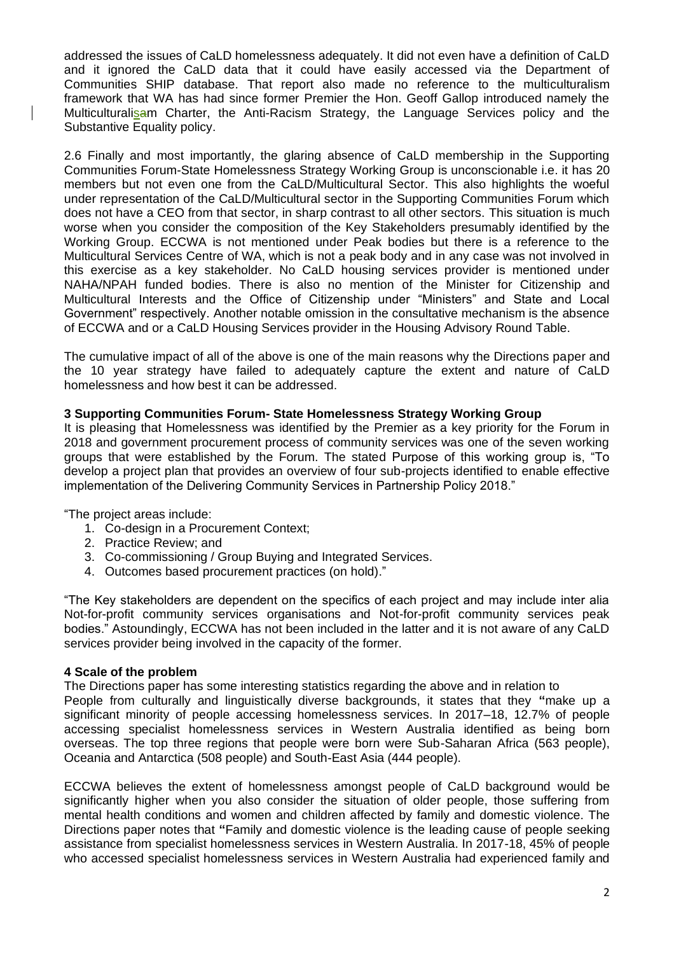addressed the issues of CaLD homelessness adequately. It did not even have a definition of CaLD and it ignored the CaLD data that it could have easily accessed via the Department of Communities SHIP database. That report also made no reference to the multiculturalism framework that WA has had since former Premier the Hon. Geoff Gallop introduced namely the Multiculturalisam Charter, the Anti-Racism Strategy, the Language Services policy and the Substantive Equality policy.

2.6 Finally and most importantly, the glaring absence of CaLD membership in the Supporting Communities Forum-State Homelessness Strategy Working Group is unconscionable i.e. it has 20 members but not even one from the CaLD/Multicultural Sector. This also highlights the woeful under representation of the CaLD/Multicultural sector in the Supporting Communities Forum which does not have a CEO from that sector, in sharp contrast to all other sectors. This situation is much worse when you consider the composition of the Key Stakeholders presumably identified by the Working Group. ECCWA is not mentioned under Peak bodies but there is a reference to the Multicultural Services Centre of WA, which is not a peak body and in any case was not involved in this exercise as a key stakeholder. No CaLD housing services provider is mentioned under NAHA/NPAH funded bodies. There is also no mention of the Minister for Citizenship and Multicultural Interests and the Office of Citizenship under "Ministers" and State and Local Government" respectively. Another notable omission in the consultative mechanism is the absence of ECCWA and or a CaLD Housing Services provider in the Housing Advisory Round Table.

The cumulative impact of all of the above is one of the main reasons why the Directions paper and the 10 year strategy have failed to adequately capture the extent and nature of CaLD homelessness and how best it can be addressed.

# **3 Supporting Communities Forum- State Homelessness Strategy Working Group**

It is pleasing that Homelessness was identified by the Premier as a key priority for the Forum in 2018 and government procurement process of community services was one of the seven working groups that were established by the Forum. The stated Purpose of this working group is, "To develop a project plan that provides an overview of four sub-projects identified to enable effective implementation of the Delivering Community Services in Partnership Policy 2018."

"The project areas include:

- 1. Co-design in a Procurement Context;
- 2. Practice Review; and
- 3. Co-commissioning / Group Buying and Integrated Services.
- 4. Outcomes based procurement practices (on hold)."

"The Key stakeholders are dependent on the specifics of each project and may include inter alia Not-for-profit community services organisations and Not-for-profit community services peak bodies." Astoundingly, ECCWA has not been included in the latter and it is not aware of any CaLD services provider being involved in the capacity of the former.

#### **4 Scale of the problem**

The Directions paper has some interesting statistics regarding the above and in relation to People from culturally and linguistically diverse backgrounds, it states that they **"**make up a significant minority of people accessing homelessness services. In 2017–18, 12.7% of people accessing specialist homelessness services in Western Australia identified as being born overseas. The top three regions that people were born were Sub-Saharan Africa (563 people), Oceania and Antarctica (508 people) and South-East Asia (444 people).

ECCWA believes the extent of homelessness amongst people of CaLD background would be significantly higher when you also consider the situation of older people, those suffering from mental health conditions and women and children affected by family and domestic violence. The Directions paper notes that **"**Family and domestic violence is the leading cause of people seeking assistance from specialist homelessness services in Western Australia. In 2017-18, 45% of people who accessed specialist homelessness services in Western Australia had experienced family and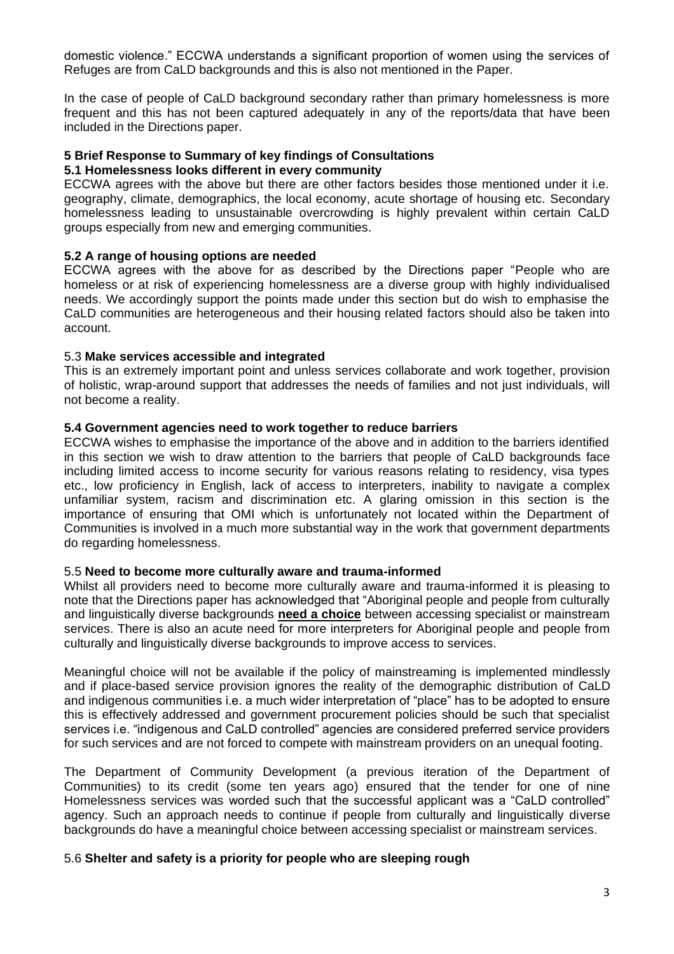domestic violence." ECCWA understands a significant proportion of women using the services of Refuges are from CaLD backgrounds and this is also not mentioned in the Paper.

In the case of people of CaLD background secondary rather than primary homelessness is more frequent and this has not been captured adequately in any of the reports/data that have been included in the Directions paper.

#### **5 Brief Response to Summary of key findings of Consultations**

#### **5.1 Homelessness looks different in every community**

ECCWA agrees with the above but there are other factors besides those mentioned under it i.e. geography, climate, demographics, the local economy, acute shortage of housing etc. Secondary homelessness leading to unsustainable overcrowding is highly prevalent within certain CaLD groups especially from new and emerging communities.

# **5.2 A range of housing options are needed**

ECCWA agrees with the above for as described by the Directions paper "People who are homeless or at risk of experiencing homelessness are a diverse group with highly individualised needs. We accordingly support the points made under this section but do wish to emphasise the CaLD communities are heterogeneous and their housing related factors should also be taken into account.

# 5.3 **Make services accessible and integrated**

This is an extremely important point and unless services collaborate and work together, provision of holistic, wrap-around support that addresses the needs of families and not just individuals, will not become a reality.

# **5.4 Government agencies need to work together to reduce barriers**

ECCWA wishes to emphasise the importance of the above and in addition to the barriers identified in this section we wish to draw attention to the barriers that people of CaLD backgrounds face including limited access to income security for various reasons relating to residency, visa types etc., low proficiency in English, lack of access to interpreters, inability to navigate a complex unfamiliar system, racism and discrimination etc. A glaring omission in this section is the importance of ensuring that OMI which is unfortunately not located within the Department of Communities is involved in a much more substantial way in the work that government departments do regarding homelessness.

# 5.5 **Need to become more culturally aware and trauma-informed**

Whilst all providers need to become more culturally aware and trauma-informed it is pleasing to note that the Directions paper has acknowledged that "Aboriginal people and people from culturally and linguistically diverse backgrounds **need a choice** between accessing specialist or mainstream services. There is also an acute need for more interpreters for Aboriginal people and people from culturally and linguistically diverse backgrounds to improve access to services.

Meaningful choice will not be available if the policy of mainstreaming is implemented mindlessly and if place-based service provision ignores the reality of the demographic distribution of CaLD and indigenous communities i.e. a much wider interpretation of "place" has to be adopted to ensure this is effectively addressed and government procurement policies should be such that specialist services i.e. "indigenous and CaLD controlled" agencies are considered preferred service providers for such services and are not forced to compete with mainstream providers on an unequal footing.

The Department of Community Development (a previous iteration of the Department of Communities) to its credit (some ten years ago) ensured that the tender for one of nine Homelessness services was worded such that the successful applicant was a "CaLD controlled" agency. Such an approach needs to continue if people from culturally and linguistically diverse backgrounds do have a meaningful choice between accessing specialist or mainstream services.

# 5.6 **Shelter and safety is a priority for people who are sleeping rough**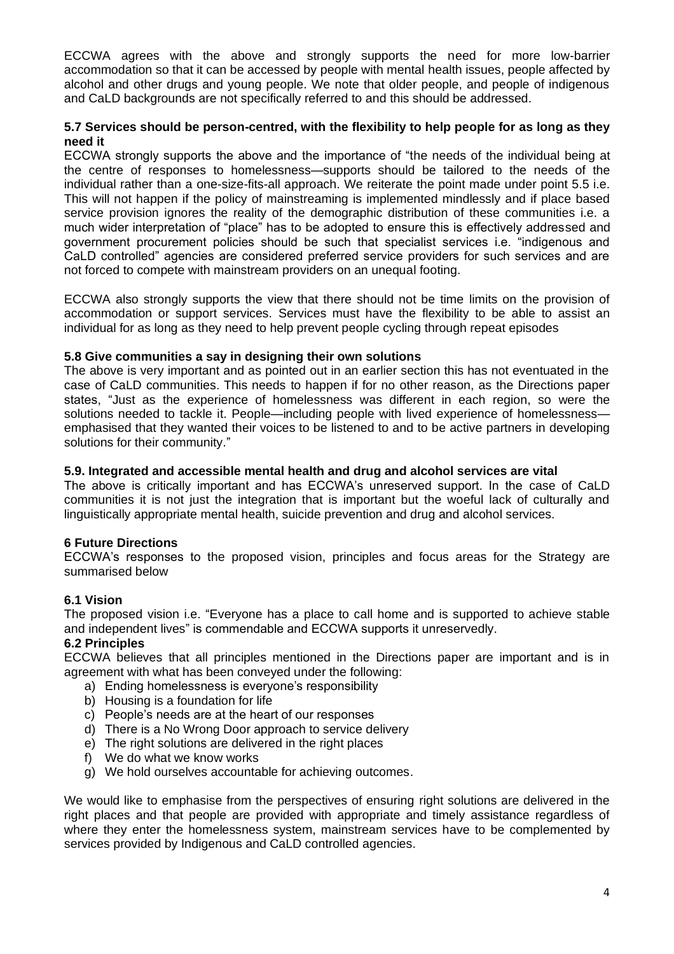ECCWA agrees with the above and strongly supports the need for more low-barrier accommodation so that it can be accessed by people with mental health issues, people affected by alcohol and other drugs and young people. We note that older people, and people of indigenous and CaLD backgrounds are not specifically referred to and this should be addressed.

# **5.7 Services should be person-centred, with the flexibility to help people for as long as they need it**

ECCWA strongly supports the above and the importance of "the needs of the individual being at the centre of responses to homelessness—supports should be tailored to the needs of the individual rather than a one-size-fits-all approach. We reiterate the point made under point 5.5 i.e. This will not happen if the policy of mainstreaming is implemented mindlessly and if place based service provision ignores the reality of the demographic distribution of these communities i.e. a much wider interpretation of "place" has to be adopted to ensure this is effectively addressed and government procurement policies should be such that specialist services i.e. "indigenous and CaLD controlled" agencies are considered preferred service providers for such services and are not forced to compete with mainstream providers on an unequal footing.

ECCWA also strongly supports the view that there should not be time limits on the provision of accommodation or support services. Services must have the flexibility to be able to assist an individual for as long as they need to help prevent people cycling through repeat episodes

# **5.8 Give communities a say in designing their own solutions**

The above is very important and as pointed out in an earlier section this has not eventuated in the case of CaLD communities. This needs to happen if for no other reason, as the Directions paper states, "Just as the experience of homelessness was different in each region, so were the solutions needed to tackle it. People—including people with lived experience of homelessness emphasised that they wanted their voices to be listened to and to be active partners in developing solutions for their community."

#### **5.9. Integrated and accessible mental health and drug and alcohol services are vital**

The above is critically important and has ECCWA's unreserved support. In the case of CaLD communities it is not just the integration that is important but the woeful lack of culturally and linguistically appropriate mental health, suicide prevention and drug and alcohol services.

# **6 Future Directions**

ECCWA's responses to the proposed vision, principles and focus areas for the Strategy are summarised below

# **6.1 Vision**

The proposed vision i.e. "Everyone has a place to call home and is supported to achieve stable and independent lives" is commendable and ECCWA supports it unreservedly.

# **6.2 Principles**

ECCWA believes that all principles mentioned in the Directions paper are important and is in agreement with what has been conveyed under the following:

- a) Ending homelessness is everyone's responsibility
- b) Housing is a foundation for life
- c) People's needs are at the heart of our responses
- d) There is a No Wrong Door approach to service delivery
- e) The right solutions are delivered in the right places
- f) We do what we know works
- g) We hold ourselves accountable for achieving outcomes.

We would like to emphasise from the perspectives of ensuring right solutions are delivered in the right places and that people are provided with appropriate and timely assistance regardless of where they enter the homelessness system, mainstream services have to be complemented by services provided by Indigenous and CaLD controlled agencies.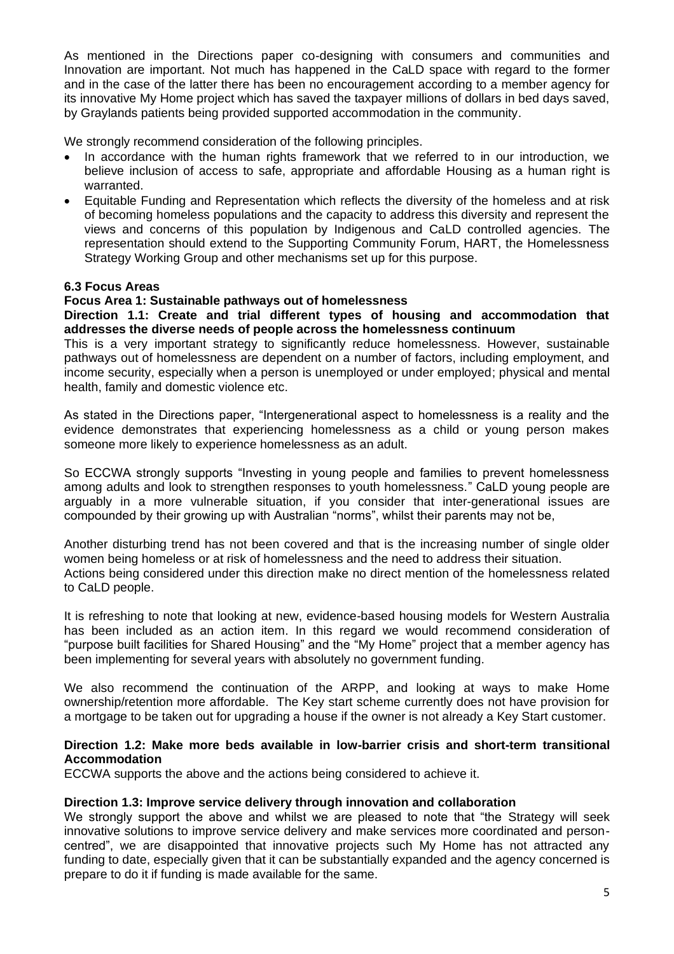As mentioned in the Directions paper co-designing with consumers and communities and Innovation are important. Not much has happened in the CaLD space with regard to the former and in the case of the latter there has been no encouragement according to a member agency for its innovative My Home project which has saved the taxpayer millions of dollars in bed days saved, by Graylands patients being provided supported accommodation in the community.

We strongly recommend consideration of the following principles.

- In accordance with the human rights framework that we referred to in our introduction, we believe inclusion of access to safe, appropriate and affordable Housing as a human right is warranted.
- Equitable Funding and Representation which reflects the diversity of the homeless and at risk of becoming homeless populations and the capacity to address this diversity and represent the views and concerns of this population by Indigenous and CaLD controlled agencies. The representation should extend to the Supporting Community Forum, HART, the Homelessness Strategy Working Group and other mechanisms set up for this purpose.

# **6.3 Focus Areas**

#### **Focus Area 1: Sustainable pathways out of homelessness**

**Direction 1.1: Create and trial different types of housing and accommodation that addresses the diverse needs of people across the homelessness continuum**

This is a very important strategy to significantly reduce homelessness. However, sustainable pathways out of homelessness are dependent on a number of factors, including employment, and income security, especially when a person is unemployed or under employed; physical and mental health, family and domestic violence etc.

As stated in the Directions paper, "Intergenerational aspect to homelessness is a reality and the evidence demonstrates that experiencing homelessness as a child or young person makes someone more likely to experience homelessness as an adult.

So ECCWA strongly supports "Investing in young people and families to prevent homelessness among adults and look to strengthen responses to youth homelessness." CaLD young people are arguably in a more vulnerable situation, if you consider that inter-generational issues are compounded by their growing up with Australian "norms", whilst their parents may not be,

Another disturbing trend has not been covered and that is the increasing number of single older women being homeless or at risk of homelessness and the need to address their situation. Actions being considered under this direction make no direct mention of the homelessness related to CaLD people.

It is refreshing to note that looking at new, evidence-based housing models for Western Australia has been included as an action item. In this regard we would recommend consideration of "purpose built facilities for Shared Housing" and the "My Home" project that a member agency has been implementing for several years with absolutely no government funding.

We also recommend the continuation of the ARPP, and looking at ways to make Home ownership/retention more affordable. The Key start scheme currently does not have provision for a mortgage to be taken out for upgrading a house if the owner is not already a Key Start customer.

#### **Direction 1.2: Make more beds available in low-barrier crisis and short-term transitional Accommodation**

ECCWA supports the above and the actions being considered to achieve it.

# **Direction 1.3: Improve service delivery through innovation and collaboration**

We strongly support the above and whilst we are pleased to note that "the Strategy will seek innovative solutions to improve service delivery and make services more coordinated and personcentred", we are disappointed that innovative projects such My Home has not attracted any funding to date, especially given that it can be substantially expanded and the agency concerned is prepare to do it if funding is made available for the same.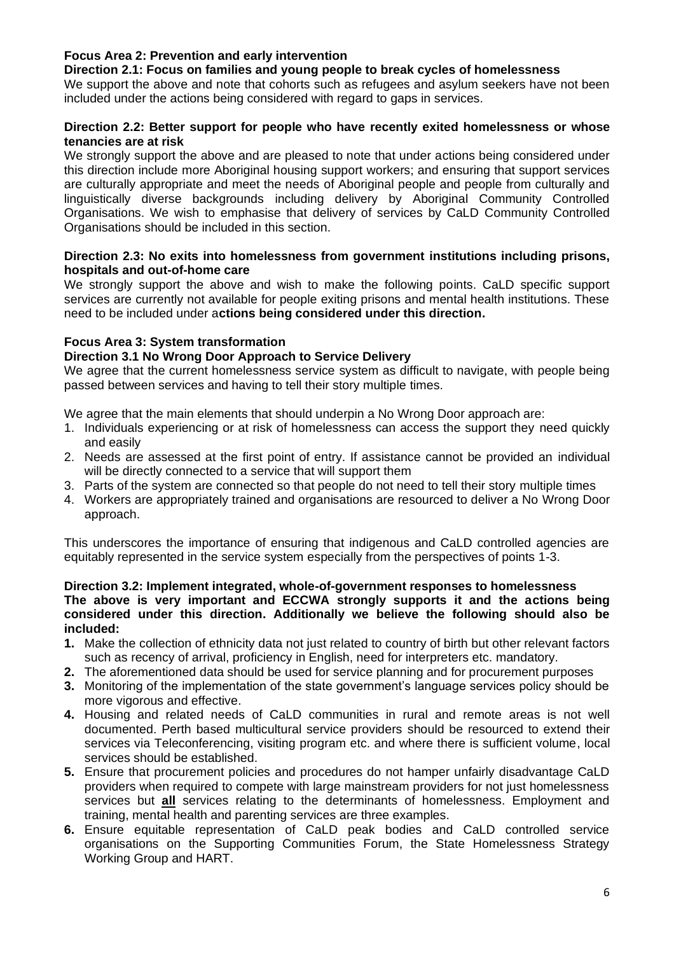# **Focus Area 2: Prevention and early intervention**

#### **Direction 2.1: Focus on families and young people to break cycles of homelessness**

We support the above and note that cohorts such as refugees and asylum seekers have not been included under the actions being considered with regard to gaps in services.

# **Direction 2.2: Better support for people who have recently exited homelessness or whose tenancies are at risk**

We strongly support the above and are pleased to note that under actions being considered under this direction include more Aboriginal housing support workers; and ensuring that support services are culturally appropriate and meet the needs of Aboriginal people and people from culturally and linguistically diverse backgrounds including delivery by Aboriginal Community Controlled Organisations. We wish to emphasise that delivery of services by CaLD Community Controlled Organisations should be included in this section.

#### **Direction 2.3: No exits into homelessness from government institutions including prisons, hospitals and out-of-home care**

We strongly support the above and wish to make the following points. CaLD specific support services are currently not available for people exiting prisons and mental health institutions. These need to be included under a**ctions being considered under this direction.**

# **Focus Area 3: System transformation**

# **Direction 3.1 No Wrong Door Approach to Service Delivery**

We agree that the current homelessness service system as difficult to navigate, with people being passed between services and having to tell their story multiple times.

We agree that the main elements that should underpin a No Wrong Door approach are:

- 1. Individuals experiencing or at risk of homelessness can access the support they need quickly and easily
- 2. Needs are assessed at the first point of entry. If assistance cannot be provided an individual will be directly connected to a service that will support them
- 3. Parts of the system are connected so that people do not need to tell their story multiple times
- 4. Workers are appropriately trained and organisations are resourced to deliver a No Wrong Door approach.

This underscores the importance of ensuring that indigenous and CaLD controlled agencies are equitably represented in the service system especially from the perspectives of points 1-3.

#### **Direction 3.2: Implement integrated, whole-of-government responses to homelessness The above is very important and ECCWA strongly supports it and the actions being considered under this direction. Additionally we believe the following should also be included:**

- **1.** Make the collection of ethnicity data not just related to country of birth but other relevant factors such as recency of arrival, proficiency in English, need for interpreters etc. mandatory.
- **2.** The aforementioned data should be used for service planning and for procurement purposes
- **3.** Monitoring of the implementation of the state government's language services policy should be more vigorous and effective.
- **4.** Housing and related needs of CaLD communities in rural and remote areas is not well documented. Perth based multicultural service providers should be resourced to extend their services via Teleconferencing, visiting program etc. and where there is sufficient volume, local services should be established.
- **5.** Ensure that procurement policies and procedures do not hamper unfairly disadvantage CaLD providers when required to compete with large mainstream providers for not just homelessness services but **all** services relating to the determinants of homelessness. Employment and training, mental health and parenting services are three examples.
- **6.** Ensure equitable representation of CaLD peak bodies and CaLD controlled service organisations on the Supporting Communities Forum, the State Homelessness Strategy Working Group and HART.